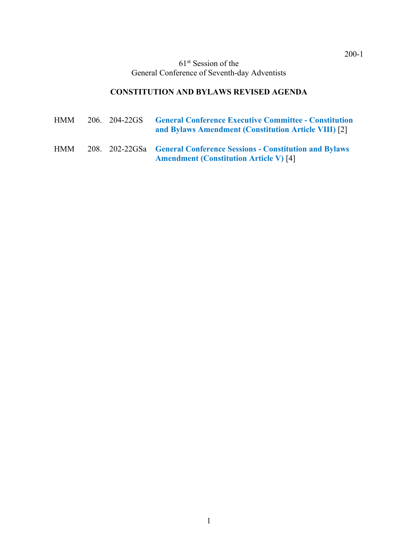61st Session of the General Conference of Seventh-day Adventists

## **CONSTITUTION AND BYLAWS REVISED AGENDA**

| HMM        | 206. 204-22GS | <b>General Conference Executive Committee - Constitution</b><br>and Bylaws Amendment (Constitution Article VIII) [2]  |
|------------|---------------|-----------------------------------------------------------------------------------------------------------------------|
| <b>HMM</b> |               | 208. 202-22GSa General Conference Sessions - Constitution and Bylaws<br><b>Amendment (Constitution Article V)</b> [4] |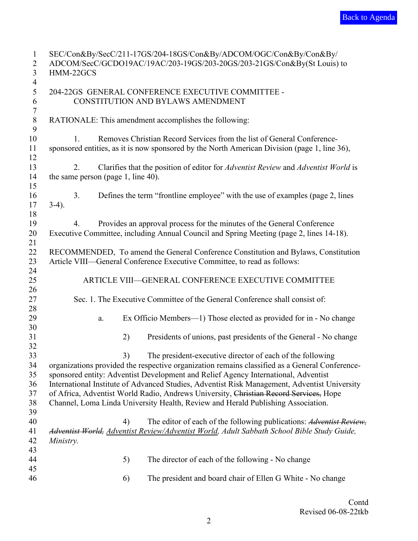<span id="page-1-0"></span>

| $\mathbf{1}$     |                                    |    | SEC/Con&By/SecC/211-17GS/204-18GS/Con&By/ADCOM/OGC/Con&By/Con&By/                              |
|------------------|------------------------------------|----|------------------------------------------------------------------------------------------------|
| $\overline{2}$   |                                    |    | ADCOM/SecC/GCDO19AC/19AC/203-19GS/203-20GS/203-21GS/Con&By(St Louis) to                        |
| 3                | HMM-22GCS                          |    |                                                                                                |
| $\overline{4}$   |                                    |    |                                                                                                |
| 5                |                                    |    | 204-22GS GENERAL CONFERENCE EXECUTIVE COMMITTEE -                                              |
| 6                |                                    |    | CONSTITUTION AND BYLAWS AMENDMENT                                                              |
| $\boldsymbol{7}$ |                                    |    |                                                                                                |
| $\, 8$           |                                    |    | RATIONALE: This amendment accomplishes the following:                                          |
|                  |                                    |    |                                                                                                |
| 9                |                                    |    |                                                                                                |
| 10               | 1.                                 |    | Removes Christian Record Services from the list of General Conference-                         |
| 11               |                                    |    | sponsored entities, as it is now sponsored by the North American Division (page 1, line 36),   |
| 12               |                                    |    |                                                                                                |
| 13               | 2.                                 |    | Clarifies that the position of editor for Adventist Review and Adventist World is              |
| 14               | the same person (page 1, line 40). |    |                                                                                                |
| 15               |                                    |    |                                                                                                |
| 16               | 3.                                 |    | Defines the term "frontline employee" with the use of examples (page 2, lines                  |
| 17               | $3-4$ ).                           |    |                                                                                                |
| 18               |                                    |    |                                                                                                |
| 19               | 4.                                 |    | Provides an approval process for the minutes of the General Conference                         |
| 20               |                                    |    | Executive Committee, including Annual Council and Spring Meeting (page 2, lines 14-18).        |
| 21               |                                    |    |                                                                                                |
|                  |                                    |    |                                                                                                |
| 22               |                                    |    | RECOMMENDED, To amend the General Conference Constitution and Bylaws, Constitution             |
| 23               |                                    |    | Article VIII—General Conference Executive Committee, to read as follows:                       |
| 24               |                                    |    |                                                                                                |
| 25               |                                    |    | ARTICLE VIII-GENERAL CONFERENCE EXECUTIVE COMMITTEE                                            |
| 26               |                                    |    |                                                                                                |
| 27               |                                    |    | Sec. 1. The Executive Committee of the General Conference shall consist of:                    |
| 28               |                                    |    |                                                                                                |
| 29               | a.                                 |    | Ex Officio Members-1) Those elected as provided for in - No change                             |
| 30               |                                    |    |                                                                                                |
| 31               |                                    | 2) | Presidents of unions, past presidents of the General - No change                               |
| 32               |                                    |    |                                                                                                |
| 33               |                                    | 3) | The president-executive director of each of the following                                      |
| 34               |                                    |    | organizations provided the respective organization remains classified as a General Conference- |
|                  |                                    |    |                                                                                                |
| 35               |                                    |    | sponsored entity: Adventist Development and Relief Agency International, Adventist             |
| 36               |                                    |    | International Institute of Advanced Studies, Adventist Risk Management, Adventist University   |
| 37               |                                    |    | of Africa, Adventist World Radio, Andrews University, Christian Record Services, Hope          |
| 38               |                                    |    | Channel, Loma Linda University Health, Review and Herald Publishing Association.               |
| 39               |                                    |    |                                                                                                |
| 40               |                                    | 4) | The editor of each of the following publications: Adventist Review,                            |
| 41               |                                    |    | Adventist World, Adventist Review/Adventist World, Adult Sabbath School Bible Study Guide,     |
| 42               | Ministry.                          |    |                                                                                                |
| 43               |                                    |    |                                                                                                |
| 44               |                                    | 5) | The director of each of the following - No change                                              |
| 45               |                                    |    |                                                                                                |
| 46               |                                    |    | The president and board chair of Ellen G White - No change                                     |
|                  |                                    | 6) |                                                                                                |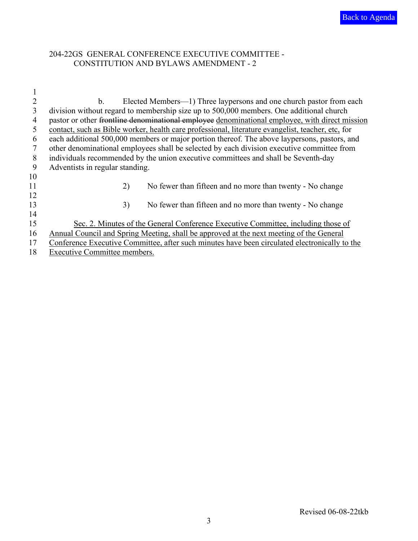## 204-22GS GENERAL CONFERENCE EXECUTIVE COMMITTEE - CONSTITUTION AND BYLAWS AMENDMENT - 2

| $\overline{2}$ | b.<br>Elected Members—1) Three laypersons and one church pastor from each                         |
|----------------|---------------------------------------------------------------------------------------------------|
| 3              | division without regard to membership size up to 500,000 members. One additional church           |
| 4              | pastor or other frontline denominational employee denominational employee, with direct mission    |
| 5              | contact, such as Bible worker, health care professional, literature evangelist, teacher, etc, for |
| 6              | each additional 500,000 members or major portion thereof. The above laypersons, pastors, and      |
| 7              | other denominational employees shall be selected by each division executive committee from        |
| 8              | individuals recommended by the union executive committees and shall be Seventh-day                |
| 9              | Adventists in regular standing.                                                                   |
| 10             |                                                                                                   |
| 11             | 2)<br>No fewer than fifteen and no more than twenty - No change                                   |
| 12             |                                                                                                   |
| 13             | 3)<br>No fewer than fifteen and no more than twenty - No change                                   |
| 14             |                                                                                                   |
| 15             | Sec. 2. Minutes of the General Conference Executive Committee, including those of                 |
| 16             | Annual Council and Spring Meeting, shall be approved at the next meeting of the General           |
| 17             | Conference Executive Committee, after such minutes have been circulated electronically to the     |
| 18             | Executive Committee members.                                                                      |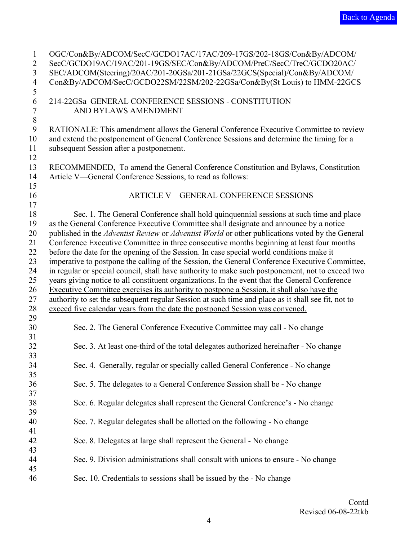<span id="page-3-0"></span>

| $\mathbf{1}$   | OGC/Con&By/ADCOM/SecC/GCDO17AC/17AC/209-17GS/202-18GS/Con&By/ADCOM/                                |
|----------------|----------------------------------------------------------------------------------------------------|
| $\overline{2}$ | SecC/GCDO19AC/19AC/201-19GS/SEC/Con&By/ADCOM/PreC/SecC/TreC/GCDO20AC/                              |
| $\overline{3}$ | SEC/ADCOM(Steering)/20AC/201-20GSa/201-21GSa/22GCS(Special)/Con&By/ADCOM/                          |
| $\overline{4}$ | Con&By/ADCOM/SecC/GCDO22SM/22SM/202-22GSa/Con&By(St Louis) to HMM-22GCS                            |
| 5              |                                                                                                    |
| 6              | 214-22GSa GENERAL CONFERENCE SESSIONS - CONSTITUTION                                               |
| $\overline{7}$ | AND BYLAWS AMENDMENT                                                                               |
| $\,8\,$        |                                                                                                    |
| 9              | RATIONALE: This amendment allows the General Conference Executive Committee to review              |
| 10             | and extend the postponement of General Conference Sessions and determine the timing for a          |
| 11             | subsequent Session after a postponement.                                                           |
| 12             |                                                                                                    |
| 13             | RECOMMENDED, To amend the General Conference Constitution and Bylaws, Constitution                 |
| 14             | Article V—General Conference Sessions, to read as follows:                                         |
| 15             |                                                                                                    |
| 16             | <b>ARTICLE V-GENERAL CONFERENCE SESSIONS</b>                                                       |
| 17             |                                                                                                    |
| 18             | Sec. 1. The General Conference shall hold quinquennial sessions at such time and place             |
| 19             | as the General Conference Executive Committee shall designate and announce by a notice             |
| 20             | published in the Adventist Review or Adventist World or other publications voted by the General    |
| 21             | Conference Executive Committee in three consecutive months beginning at least four months          |
| 22             | before the date for the opening of the Session. In case special world conditions make it           |
| 23             | imperative to postpone the calling of the Session, the General Conference Executive Committee,     |
| 24             | in regular or special council, shall have authority to make such postponement, not to exceed two   |
| 25             | years giving notice to all constituent organizations. In the event that the General Conference     |
| 26             | Executive Committee exercises its authority to postpone a Session, it shall also have the          |
| 27             | authority to set the subsequent regular Session at such time and place as it shall see fit, not to |
| 28             | exceed five calendar years from the date the postponed Session was convened.                       |
| 29             |                                                                                                    |
| 30             | Sec. 2. The General Conference Executive Committee may call - No change                            |
| 31             |                                                                                                    |
| 32             | Sec. 3. At least one-third of the total delegates authorized hereinafter - No change               |
| 33             |                                                                                                    |
| 34             | Sec. 4. Generally, regular or specially called General Conference - No change                      |
| 35             |                                                                                                    |
| 36             | Sec. 5. The delegates to a General Conference Session shall be - No change                         |
| 37             |                                                                                                    |
| 38             | Sec. 6. Regular delegates shall represent the General Conference's - No change                     |
| 39             |                                                                                                    |
| 40             | Sec. 7. Regular delegates shall be allotted on the following - No change                           |
| 41             |                                                                                                    |
| 42             | Sec. 8. Delegates at large shall represent the General - No change                                 |
| 43             |                                                                                                    |
| 44             | Sec. 9. Division administrations shall consult with unions to ensure - No change                   |
| 45             |                                                                                                    |
| 46             | Sec. 10. Credentials to sessions shall be issued by the - No change                                |
|                |                                                                                                    |